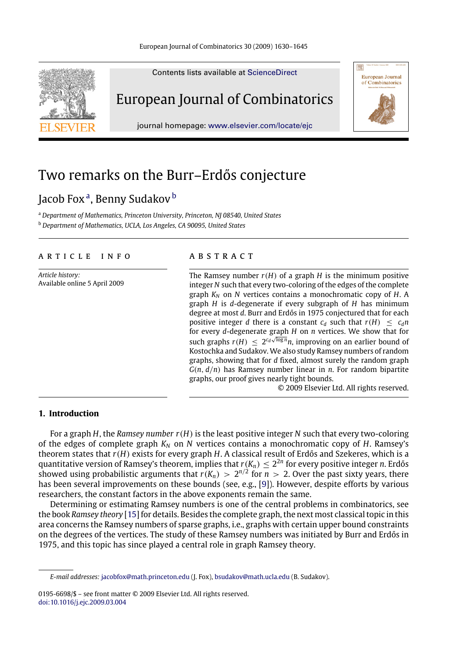

Contents lists available at [ScienceDirect](http://www.elsevier.com/locate/ejc)

## European Journal of Combinatorics



journal homepage: [www.elsevier.com/locate/ejc](http://www.elsevier.com/locate/ejc)

# Two remarks on the Burr–Erdős conjecture

## J[a](#page-0-0)co[b](#page-0-1) Fox<sup>a</sup>, Benny Sudakov <sup>b</sup>

<span id="page-0-1"></span><span id="page-0-0"></span><sup>a</sup> *Department of Mathematics, Princeton University, Princeton, NJ 08540, United States* <sup>b</sup> *Department of Mathematics, UCLA, Los Angeles, CA 90095, United States*

#### a r t i c l e i n f o

*Article history:* Available online 5 April 2009

### A B S T R A C T

The Ramsey number  $r(H)$  of a graph  $H$  is the minimum positive integer *N* such that every two-coloring of the edges of the complete graph *K<sup>N</sup>* on *N* vertices contains a monochromatic copy of *H*. A graph *H* is *d*-degenerate if every subgraph of *H* has minimum degree at most *d*. Burr and Erdős in 1975 conjectured that for each positive integer *d* there is a constant  $c_d$  such that  $r(H) \leq c_d n$ for every *d*-degenerate graph *H* on *n* vertices. We show that for √ such graphs  $r(H) \leq 2^{c_d \sqrt{\log n}} n$ , improving on an earlier bound of Kostochka and Sudakov. We also study Ramsey numbers of random graphs, showing that for *d* fixed, almost surely the random graph *G*(*n*, *d*/*n*) has Ramsey number linear in *n*. For random bipartite graphs, our proof gives nearly tight bounds.

© 2009 Elsevier Ltd. All rights reserved.

## **1. Introduction**

For a graph *H*, the *Ramsey number r*(*H*) is the least positive integer *N* such that every two-coloring of the edges of complete graph *K<sup>N</sup>* on *N* vertices contains a monochromatic copy of *H*. Ramsey's theorem states that *r*(*H*) exists for every graph *H*. A classical result of Erdős and Szekeres, which is a quantitative version of Ramsey's theorem, implies that  $r(K_n)\leq 2^{2n}$  for every positive integer *n*. Erdős showed using probabilistic arguments that  $r(K_n) > 2^{n/2}$  for  $n > 2$ . Over the past sixty years, there has been several improvements on these bounds (see, e.g., [\[9\]](#page-15-0)). However, despite efforts by various researchers, the constant factors in the above exponents remain the same.

Determining or estimating Ramsey numbers is one of the central problems in combinatorics, see the book *Ramsey theory* [\[15\]](#page-15-1) for details. Besides the complete graph, the next most classical topic in this area concerns the Ramsey numbers of sparse graphs, i.e., graphs with certain upper bound constraints on the degrees of the vertices. The study of these Ramsey numbers was initiated by Burr and Erdős in 1975, and this topic has since played a central role in graph Ramsey theory.

0195-6698/\$ – see front matter © 2009 Elsevier Ltd. All rights reserved. [doi:10.1016/j.ejc.2009.03.004](http://dx.doi.org/10.1016/j.ejc.2009.03.004)

*E-mail addresses:* [jacobfox@math.princeton.edu](mailto:jacobfox@math.princeton.edu) (J. Fox), [bsudakov@math.ucla.edu](mailto:bsudakov@math.ucla.edu) (B. Sudakov).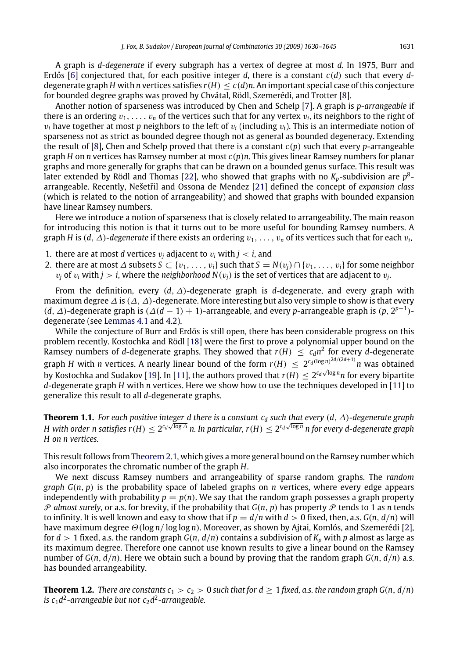A graph is *d*-*degenerate* if every subgraph has a vertex of degree at most *d*. In 1975, Burr and Erdős [\[6\]](#page-14-0) conjectured that, for each positive integer *d*, there is a constant *c*(*d*) such that every *d*degenerate graph *H* with *n* vertices satisfies  $r(H) \leq c(d)n$ . An important special case of this conjecture

for bounded degree graphs was proved by Chvátal, Rödl, Szemerédi, and Trotter [\[8\]](#page-14-1). Another notion of sparseness was introduced by Chen and Schelp [\[7\]](#page-14-2). A graph is *p*-*arrangeable* if there is an ordering  $v_1, \ldots, v_n$  of the vertices such that for any vertex  $v_i$ , its neighbors to the right of  $v_i$  have together at most *p* neighbors to the left of  $v_i$  (including  $v_i$ ). This is an intermediate notion of sparseness not as strict as bounded degree though not as general as bounded degeneracy. Extending the result of [\[8\]](#page-14-1), Chen and Schelp proved that there is a constant *c*(*p*) such that every *p*-arrangeable graph *H* on *n* vertices has Ramsey number at most *c*(*p*)*n*. This gives linear Ramsey numbers for planar graphs and more generally for graphs that can be drawn on a bounded genus surface. This result was later extended by Rödl and Thomas [\[22\]](#page-15-2), who showed that graphs with no *Kp*-subdivision are *p* 8 arrangeable. Recently, Nešetřil and Ossona de Mendez [\[21\]](#page-15-3) defined the concept of *expansion class* (which is related to the notion of arrangeability) and showed that graphs with bounded expansion have linear Ramsey numbers.

Here we introduce a notion of sparseness that is closely related to arrangeability. The main reason for introducing this notion is that it turns out to be more useful for bounding Ramsey numbers. A graph *H* is (*d*,  $\Delta$ )-*degenerate* if there exists an ordering  $v_1, \ldots, v_n$  of its vertices such that for each  $v_i$ ,

- 1. there are at most *d* vertices  $v_i$  adjacent to  $v_i$  with  $j < i$ , and
- 2. there are at most  $\triangle$  subsets  $S \subset \{v_1, \ldots, v_i\}$  such that  $S = N(v_i) \cap \{v_1, \ldots, v_i\}$  for some neighbor  $v_j$  of  $v_i$  with  $j > i$ , where the *neighborhood*  $N(v_j)$  is the set of vertices that are adjacent to  $v_j$ .

From the definition, every (*d*, ∆)-degenerate graph is *d*-degenerate, and every graph with maximum degree  $\Delta$  is  $(\Delta, \Delta)$ -degenerate. More interesting but also very simple to show is that every (*d*,  $\Delta$ )-degenerate graph is ( $\Delta$ (*d* − 1) + 1)-arrangeable, and every *p*-arrangeable graph is (*p*,  $2^{p-1}$ )degenerate (see [Lemmas 4.1](#page-10-0) and [4.2\)](#page-11-0).

While the conjecture of Burr and Erdős is still open, there has been considerable progress on this problem recently. Kostochka and Rödl [\[18\]](#page-15-4) were the first to prove a polynomial upper bound on the Ramsey numbers of *d*-degenerate graphs. They showed that  $r(H) \leq c_d n^2$  for every *d*-degenerate graph *H* with *n* vertices. A nearly linear bound of the form  $r(H) \leq 2^{c_d(\log n)^{2d/(2d+1)}} n$  was obtained by Kostochka and Sudakov [\[19\]](#page-15-5). In [\[11\]](#page-15-6), the authors proved that  $r(H) \leq 2^{c_d\sqrt{\log n}}n$  for every bipartite *d*-degenerate graph *H* with *n* vertices. Here we show how to use the techniques developed in [\[11\]](#page-15-6) to generalize this result to all *d*-degenerate graphs.

<span id="page-1-1"></span>**Theorem 1.1.** *For each positive integer d there is a constant c<sup>d</sup> such that every* (*d*, ∆)*-degenerate graph* √ √ *H with order n satisfies r*(*H*)  $\leq 2^{c_d\sqrt{\log n}}$  *n. In particular, r(H)*  $\leq 2^{c_d\sqrt{\log n}}$  *n for every d-degenerate graph H on n vertices.*

This result follows from [Theorem 2.1,](#page-2-0) which gives a more general bound on the Ramsey number which also incorporates the chromatic number of the graph *H*.

We next discuss Ramsey numbers and arrangeability of sparse random graphs. The *random graph G*(*n*, *p*) is the probability space of labeled graphs on *n* vertices, where every edge appears independently with probability  $p = p(n)$ . We say that the random graph possesses a graph property  $P$  *almost surely*, or a.s. for brevity, if the probability that  $G(n, p)$  has property P tends to 1 as *n* tends to infinity. It is well known and easy to show that if  $p = d/n$  with  $d > 0$  fixed, then, a.s.  $G(n, d/n)$  will have maximum degree Θ(log *n*/ log log *n*). Moreover, as shown by Ajtai, Komlós, and Szemerédi [\[2\]](#page-14-3), for  $d > 1$  fixed, a.s. the random graph  $G(n, d/n)$  contains a subdivision of  $K_p$  with p almost as large as its maximum degree. Therefore one cannot use known results to give a linear bound on the Ramsey number of  $G(n, d/n)$ . Here we obtain such a bound by proving that the random graph  $G(n, d/n)$  a.s. has bounded arrangeability.

<span id="page-1-0"></span>**Theorem 1.2.** *There are constants*  $c_1 > c_2 > 0$  *such that for*  $d \ge 1$  *fixed, a.s. the random graph*  $G(n, d/n)$ *is c*1*d* 2 *-arrangeable but not c*2*d* 2 *-arrangeable.*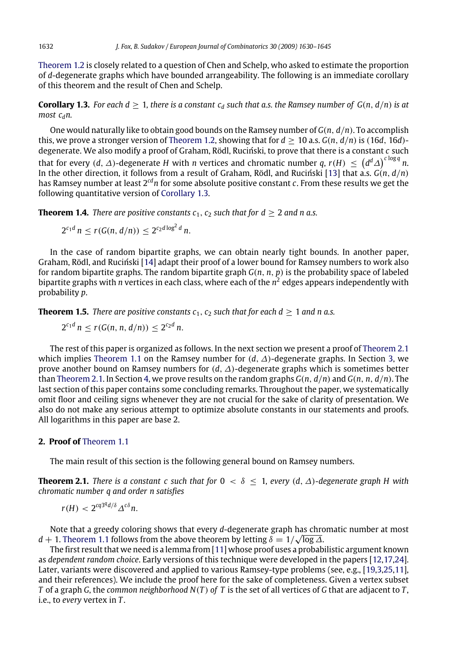[Theorem 1.2](#page-1-0) is closely related to a question of Chen and Schelp, who asked to estimate the proportion of *d*-degenerate graphs which have bounded arrangeability. The following is an immediate corollary of this theorem and the result of Chen and Schelp.

<span id="page-2-1"></span>**Corollary 1.3.** For each  $d > 1$ , there is a constant  $c_d$  such that a.s. the Ramsey number of  $G(n, d/n)$  is at *most*  $c<sub>d</sub>n$ *.* 

One would naturally like to obtain good bounds on the Ramsey number of *G*(*n*, *d*/*n*). To accomplish this, we prove a stronger version of [Theorem 1.2,](#page-1-0) showing that for  $d > 10$  a.s.  $G(n, d/n)$  is (16*d*, 16*d*)degenerate. We also modify a proof of Graham, Rödl, Ruciński, to prove that there is a constant *c* such that for every (*d*,  $\varDelta$ )-degenerate *H* with *n* vertices and chromatic number *q*, *r*(*H*)  $\leq$   $\left(d^d\varDelta\right)^{c\log q}$  *n*. In the other direction, it follows from a result of Graham, Rödl, and Ruciński [\[13\]](#page-15-7) that a.s. *G*(*n*, *d*/*n*) has Ramsey number at least 2*cdn* for some absolute positive constant *c*. From these results we get the following quantitative version of [Corollary 1.3.](#page-2-1)

**Theorem 1.4.** *There are positive constants*  $c_1$ ,  $c_2$  *such that for d*  $\geq$  2 *and n a.s.* 

<span id="page-2-2"></span>
$$
2^{c_1d} n \le r(G(n, d/n)) \le 2^{c_2d \log^2 d} n.
$$

In the case of random bipartite graphs, we can obtain nearly tight bounds. In another paper, Graham, Rödl, and Ruciński [\[14\]](#page-15-8) adapt their proof of a lower bound for Ramsey numbers to work also for random bipartite graphs. The random bipartite graph *G*(*n*, *n*, *p*) is the probability space of labeled bipartite graphs with  $n$  vertices in each class, where each of the  $n^2$  edges appears independently with probability *p*.

**Theorem 1.5.** *There are positive constants*  $c_1$ ,  $c_2$  *such that for each d*  $\geq 1$  *and n a.s.* 

<span id="page-2-3"></span>
$$
2^{c_1d} n \le r(G(n, n, d/n)) \le 2^{c_2d} n.
$$

The rest of this paper is organized as follows. In the next section we present a proof of [Theorem 2.1](#page-2-0) which implies [Theorem 1.1](#page-1-1) on the Ramsey number for (*d*, ∆)-degenerate graphs. In Section [3,](#page-8-0) we prove another bound on Ramsey numbers for (*d*, ∆)-degenerate graphs which is sometimes better than [Theorem 2.1.](#page-2-0) In Section [4,](#page-10-1) we prove results on the random graphs *G*(*n*, *d*/*n*) and *G*(*n*, *n*, *d*/*n*). The last section of this paper contains some concluding remarks. Throughout the paper, we systematically omit floor and ceiling signs whenever they are not crucial for the sake of clarity of presentation. We also do not make any serious attempt to optimize absolute constants in our statements and proofs. All logarithms in this paper are base 2.

### **2. Proof of** [Theorem 1.1](#page-1-1)

The main result of this section is the following general bound on Ramsey numbers.

**Theorem 2.1.** *There is a constant c such that for*  $0 < \delta \leq 1$ , *every* (*d*,  $\Delta$ )*-degenerate graph H with chromatic number q and order n satisfies*

<span id="page-2-0"></span> $r(H) < 2^{cq^{3q}d/\delta} \Delta^{c\delta} n$ .

Note that a greedy coloring shows that every *d*-degenerate graph has chromatic number at most √  $d+1$ . [Theorem 1.1](#page-1-1) follows from the above theorem by letting  $\delta = 1/\sqrt{\log \Delta}.$ 

The first result that we need is a lemma from [\[11\]](#page-15-6) whose proof uses a probabilistic argument known as *dependent random choice*. Early versions of this technique were developed in the papers [\[12](#page-15-9)[,17,](#page-15-10)[24\]](#page-15-11). Later, variants were discovered and applied to various Ramsey-type problems (see, e.g., [\[19,](#page-15-5)[3](#page-14-4)[,25,](#page-15-12)[11\]](#page-15-6), and their references). We include the proof here for the sake of completeness. Given a vertex subset *T* of a graph *G*, the *common neighborhood N*(*T* ) *of T* is the set of all vertices of *G* that are adjacent to *T* , i.e., to *every* vertex in *T* .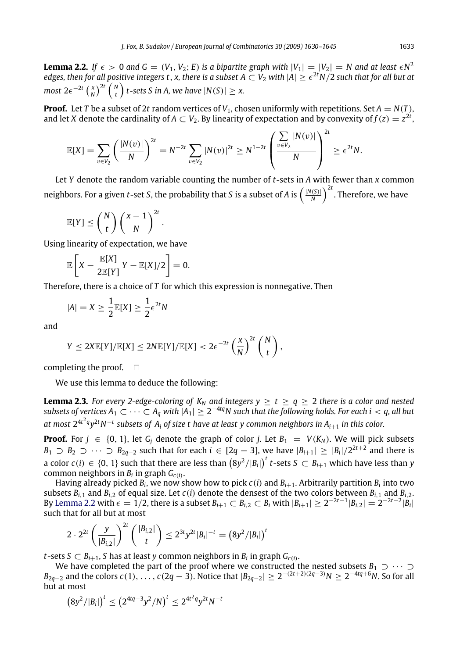<span id="page-3-0"></span>**Lemma 2.2.** If  $\epsilon > 0$  and  $G = (V_1, V_2; E)$  is a bipartite graph with  $|V_1| = |V_2| = N$  and at least  $\epsilon N^2$ *edges, then for all positive integers t*, *x, there is a subset A* ⊂ *V*<sup>2</sup> *with* |*A*| ≥ <sup>2</sup>*<sup>t</sup>N*/2 *such that for all but at*  $\int_0^{\infty} \frac{1}{2} e^{-2t} \left( \frac{x}{N} \right)^{2t} \left( \frac{N}{t} \right) t$ -sets S in A, we have  $|N(S)| \geq x$ .

**Proof.** Let *T* be a subset of 2*t* random vertices of  $V_1$ , chosen uniformly with repetitions. Set  $A = N(T)$ , and let *X* denote the cardinality of  $A \subset V_2$ . By linearity of expectation and by convexity of  $f(z) = z^{2t}$ ,

$$
\mathbb{E}[X] = \sum_{v \in V_2} \left( \frac{|N(v)|}{N} \right)^{2t} = N^{-2t} \sum_{v \in V_2} |N(v)|^{2t} \ge N^{1-2t} \left( \frac{\sum_{v \in V_2} |N(v)|}{N} \right)^{2t} \ge \epsilon^{2t} N.
$$

Let *Y* denote the random variable counting the number of *t*-sets in *A* with fewer than *x* common neighbors. For a given *t*-set *S*, the probability that *S* is a subset of *A* is  $\left(\frac{|N(S)|}{N}\right)^{2t}$ . Therefore, we have

$$
\mathbb{E}[Y] \leq {N \choose t} \left(\frac{x-1}{N}\right)^{2t}.
$$

Using linearity of expectation, we have

$$
\mathbb{E}\left[X-\frac{\mathbb{E}[X]}{2\mathbb{E}[Y]}Y-\mathbb{E}[X]/2\right]=0.
$$

Therefore, there is a choice of *T* for which this expression is nonnegative. Then

$$
|A| = X \ge \frac{1}{2} \mathbb{E}[X] \ge \frac{1}{2} \epsilon^{2t} N
$$

and

$$
Y \leq 2X \mathbb{E}[Y]/\mathbb{E}[X] \leq 2N \mathbb{E}[Y]/\mathbb{E}[X] < 2\epsilon^{-2t} \left(\frac{x}{N}\right)^{2t} \binom{N}{t},
$$

completing the proof.  $\square$ 

<span id="page-3-1"></span>We use this lemma to deduce the following:

**Lemma 2.3.** *For every 2-edge-coloring of*  $K_N$  *and integers*  $y \ge t \ge q \ge 2$  *there is a color and nested*  $s$ ubsets of vertices A<sub>1</sub> ⊂  $\cdots$  ⊂ A<sub>q</sub> with  $|A_1|\geq 2^{-4tq}N$  such that the following holds. For each i < q, all but at most  $2^{4t^2q}y^{2t}N^{-t}$  subsets of  $A_i$  of size t have at least y common neighbors in  $A_{i+1}$  in this color.

**Proof.** For  $j \in \{0, 1\}$ , let  $G_i$  denote the graph of color *j*. Let  $B_1 = V(K_N)$ . We will pick subsets *B*<sub>1</sub> ⊃ *B*<sub>2</sub> ⊃ · · · ⊃ *B*<sub>2*q*−2</sub> such that for each *i* ∈ [2*q* − 3], we have  $|B_{i+1}| \ge |B_i|/2^{2t+2}$  and there is a color  $c(i) \in \{0, 1\}$  such that there are less than  $(8y^2/|B_i|)^t$  t-sets  $S \subset B_{i+1}$  which have less than y common neighbors in  $B_i$  in graph  $G_{c(i)}$ .

Having already picked  $B_i$ , we now show how to pick  $c(i)$  and  $B_{i+1}$ . Arbitrarily partition  $B_i$  into two subsets  $B_{i,1}$  and  $B_{i,2}$  of equal size. Let  $c(i)$  denote the densest of the two colors between  $B_{i,1}$  and  $B_i$ , By [Lemma 2.2](#page-3-0) with  $\epsilon = 1/2$ , there is a subset  $B_{i+1} \subset B_{i,2} \subset B_i$  with  $|B_{i+1}| \geq 2^{-2t-1}|B_{i,2}| = 2^{-2t-2}|\overline{B_i}|$ such that for all but at most

$$
2 \cdot 2^{2t} \left(\frac{y}{|B_{i,2}|}\right)^{2t} { |B_{i,2}| \choose t} \leq 2^{3t} y^{2t} |B_i|^{-t} = (8y^2/|B_i|)^t
$$

*t*-sets  $S \subset B_{i+1}$ , *S* has at least *y* common neighbors in  $B_i$  in graph  $G_{c(i)}$ .

We have completed the part of the proof where we constructed the nested subsets  $B_1 \supset \cdots \supset$ *B*<sub>2*q*−2</sub> and the colors *c*(1), . . . , *c*(2*q* − 3). Notice that  $|B_{2q-2}| \ge 2^{-(2t+2)(2q-3)}N \ge 2^{-4tq+6}N$ . So for all but at most

$$
(8y^2/|B_i|)^t \le (2^{4tq-3}y^2/N)^t \le 2^{4t^2q}y^{2t}N^{-t}
$$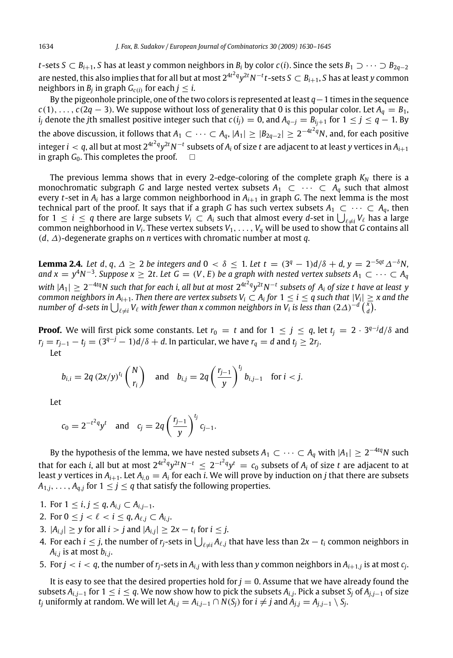*t*-sets *S* ⊂ *B*<sub>*i*+1</sub>, *S* has at least *y* common neighbors in *B*<sub>*i*</sub> by color *c*(*i*). Since the sets *B*<sub>1</sub> ⊃ · · · ⊃ *B*<sub>2*q*−2</sub> are nested, this also implies that for all but at most  $2^{4t^2q}y^{2t}N^{-t}t$ -sets  $S\subset B_{i+1}$ ,  $S$  has at least  $y$  common neighbors in  $B_j$  in graph  $G_{c(i)}$  for each  $j \leq i$ .

By the pigeonhole principle, one of the two colors is represented at least *q*−1 times in the sequence  $c(1), \ldots, c(2q-3)$ . We suppose without loss of generality that 0 is this popular color. Let  $A_q = B_1$ , *i*<sub>j</sub> denote the *j*th smallest positive integer such that  $c(i_j) = 0$ , and  $A_{q-j} = B_{i_j+1}$  for 1 ≤ *j* ≤ *q* − 1. By the above discussion, it follows that  $A_1\subset\cdots\subset A_q$ ,  $|A_1|\ge |B_{2q-2}|\ge 2^{-4t^2q}N$ , and, for each positive integer  $i < q$ , all but at most  $2^{4t^2q}y^{2t}N^{-t}$  subsets of  $A_i$  of size  $t$  are adjacent to at least  $y$  vertices in  $A_{i+1}$ in graph  $G_0$ . This completes the proof.  $\Box$ 

The previous lemma shows that in every 2-edge-coloring of the complete graph *K<sup>N</sup>* there is a monochromatic subgraph *G* and large nested vertex subsets  $A_1 \subset \cdots \subset A_q$  such that almost every *t*-set in *A<sup>i</sup>* has a large common neighborhood in *Ai*+<sup>1</sup> in graph *G*. The next lemma is the most technical part of the proof. It says that if a graph *G* has such vertex subsets  $A_1 \subset \cdots \subset A_q$ , then for 1 ≤ *i* ≤ *q* there are large subsets  $V_i$  ⊂  $A_i$  such that almost every *d*-set in  $\bigcup_{\ell \neq i} V_\ell$  has a large common neighborhood in  $V_i$ . These vertex subsets  $V_1,\ldots,V_q$  will be used to show that *G* contains all (*d*, ∆)-degenerate graphs on *n* vertices with chromatic number at most *q*.

<span id="page-4-0"></span>**Lemma 2.4.** *Let d, q,*  $\Delta \ge 2$  *be integers and*  $0 < \delta \le 1$ *. Let t* =  $(3^q - 1)d/\delta + d$ ,  $y = 2^{-5qt}\Delta^{-\delta}N$ , *and x* = y<sup>4</sup>N<sup>−3</sup>. Suppose x ≥ 2t. Let G = (V, E) be a graph with nested vertex subsets A<sub>1</sub> ⊂ · · · ⊂ A<sub>q</sub> with  $|A_1|\geq 2^{-4tq}N$  such that for each i, all but at most  $2^{4t^2q}y^{2t}N^{-t}$  subsets of  $A_i$  of size t have at least  $y$  $f$  *common neighbors in*  $A_{i+1}$ *. Then there are vertex subsets*  $V_i\subset A_i$  *for*  $1\leq i\leq q$  *such that*  $|V_i|\geq x$  *and the*  $n$ umber of d-sets in  $\bigcup_{\ell\neq i}V_\ell$  with fewer than x common neighbors in  $V_i$  is less than  $(2\Delta)^{-d}\left(\frac{x}{d}\right)$ .

**Proof.** We will first pick some constants. Let  $r_0 = t$  and for  $1 \leq j \leq q$ , let  $t_j = 2 \cdot 3^{q-j} d/\delta$  and  $r_j = r_{j-1} - t_j = (3^{q-j} - 1)d/\delta + d$ . In particular, we have  $r_q = d$  and  $t_j \geq 2r_j$ . Let

$$
b_{i,i} = 2q (2x/y)^{t_i} {N \choose r_i}
$$
 and  $b_{i,j} = 2q {r_{j-1} \choose y}^{t_j} b_{i,j-1}$  for  $i < j$ .

Let

$$
c_0 = 2^{-t^2 q} y^t
$$
 and  $c_j = 2q \left(\frac{r_{j-1}}{y}\right)^{t_j} c_{j-1}.$ 

By the hypothesis of the lemma, we have nested subsets  $A_1\subset\cdots\subset A_q$  with  $|A_1|\geq 2^{-4tq}N$  such that for each *i*, all but at most  $2^{4t^2q}y^{2t}N^{-t} \leq 2^{-t^2q}y^t = c_0$  subsets of  $A_i$  of size  $t$  are adjacent to at least  $y$  vertices in  $A_{i+1}$ . Let  $A_{i,0} = A_i$  for each  $i$ . We will prove by induction on  $j$  that there are subsets  $A_{1,j}, \ldots, A_{q,j}$  for  $1 \leq j \leq q$  that satisfy the following properties.

- 1. For  $1 \le i, j \le q, A_{i,j} \subset A_{i,j-1}$ .
- 2. For  $0 \le j < \ell < i \le q$ ,  $A_{\ell,j} \subset A_{i,j}$ .
- 3.  $|A_{i,j}| \geq y$  for all  $i > j$  and  $|A_{i,j}| \geq 2x t_i$  for  $i \leq j$ .
- 4. For each  $i \leq j$ , the number of  $r_j$ -sets in  $\bigcup_{\ell \neq i} A_{\ell,j}$  that have less than 2*x* −  $t_i$  common neighbors in *Ai*,*<sup>j</sup>* is at most *bi*,*<sup>j</sup>* .
- 5. For  $j < i < q$ , the number of  $r_j$ -sets in  $A_{i,j}$  with less than  $y$  common neighbors in  $A_{i+1,j}$  is at most  $c_j$ .

It is easy to see that the desired properties hold for  $j = 0$ . Assume that we have already found the subsets  $A_{i,j-1}$  for  $1 \le i \le q$ . We now show how to pick the subsets  $A_{i,j}$ . Pick a subset  $S_j$  of  $A_{j,j-1}$  of size  $t_j$  uniformly at random. We will let  $A_{i,j}=A_{i,j-1}\cap N(S_j)$  for  $i\neq j$  and  $\check{A}_{j,j}=A_{j,j-1}\setminus S_j.$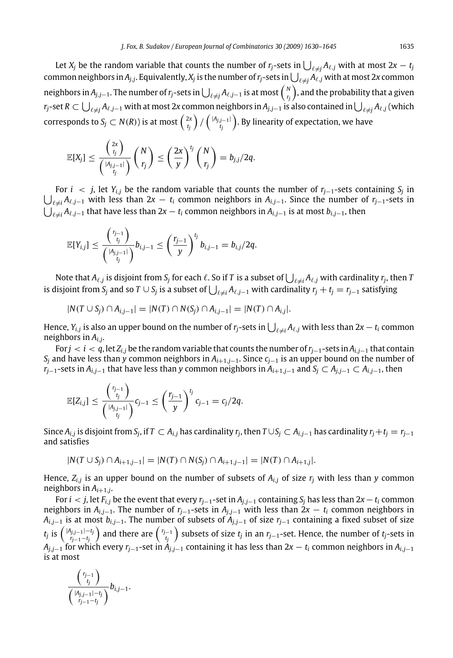Let  $X_j$  be the random variable that counts the number of  $r_j$ -sets in  $\bigcup_{\ell\neq j}A_{\ell,j}$  with at most 2 $x-t_j$ common neighbors in  $A_{j,j}$ . Equivalently,  $X_j$  is the number of  $r_j$ -sets in  $\bigcup_{\ell\neq j}A_{\ell,j}$  with at most 2x common neighbors in  $A_{j,j-1}$ . The number of  $r_j$ -sets in  $\bigcup_{\ell\neq j}A_{\ell,j-1}$  is at most  $\binom{N}{r_j}$ , and the probability that a given  $r_j$ -set  $R\subset\bigcup_{\ell\neq j}A_{\ell,j-1}$  with at most 2*x* common neighbors in  $A_{j,j-1}$  is also contained in  $\bigcup_{\ell\neq j}A_{\ell,j}$  (which  $\text{corresponds to } S_j \subset N(R)$ ) is at most  $\left(\frac{2x}{t_j}\right) / \left(\frac{|A_{j,j-1}|}{t_j}\right)$ . By linearity of expectation, we have

$$
\mathbb{E}[X_j] \leq \frac{\binom{2x}{t_j}}{\binom{|A_{j,j-1}|}{t_j}} \binom{N}{r_j} \leq \left(\frac{2x}{y}\right)^{t_j} \binom{N}{r_j} = b_{j,j}/2q.
$$

For *i* < *j*, let *Yi*,*<sup>j</sup>* be the random variable that counts the number of *rj*−1-sets containing *S<sup>j</sup>* in  $\bigcup_{\ell \neq i} A_{\ell,j-1}$  with less than 2*x* − *t<sub>i</sub>* common neighbors in  $A_{i,j-1}$ . Since the number of  $r_{j-1}$ -sets in  $\bigcup_{\ell\neq i}A_{\ell,j-1}$  that have less than 2*x* − *t<sub>i</sub>* common neighbors in  $A_{i,j-1}$  is at most  $b_{i,j-1}$ , then

$$
\mathbb{E}[Y_{i,j}] \leq \frac{{r_{j-1} \choose t_j}}{{|A_{j,j-1}| \choose t_j}} b_{i,j-1} \leq \left(\frac{r_{j-1}}{y}\right)^{t_j} b_{i,j-1} = b_{i,j}/2q.
$$

Note that  $A_{\ell,j}$  is disjoint from  $S_j$  for each  $\ell$ . So if  $T$  is a subset of  $\bigcup_{\ell\neq i}A_{\ell,j}$  with cardinality  $r_j$ , then  $T$ is disjoint from  $S_j$  and so  $T \cup S_j$  is a subset of  $\bigcup_{\ell \neq i} A_{\ell,j-1}$  with cardinality  $r_j+t_j=r_{j-1}$  satisfying

$$
|N(T \cup S_j) \cap A_{i,j-1}| = |N(T) \cap N(S_j) \cap A_{i,j-1}| = |N(T) \cap A_{i,j}|.
$$

Hence,  $Y_{i,j}$  is also an upper bound on the number of  $r_j$ -sets in  $\bigcup_{\ell\neq i}A_{\ell,j}$  with less than 2*x* −  $t_i$  common neighbors in *Ai*,*<sup>j</sup>* .

*For*  $j < i < q$ , let  $Z_{i,j}$  be the random variable that counts the number of  $r_{j-1}$ -sets in  $A_{i,j-1}$  that contain *S<sup>j</sup>* and have less than *y* common neighbors in *Ai*+1,*j*−1. Since *cj*−<sup>1</sup> is an upper bound on the number of *r*<sub>*j*−1</sub>-sets in *A*<sub>*i*</sub> $j$ −1</sub> that have less than *y* common neighbors in  $A_{i+1,j-1}$  and  $S_i \subset A_{i,j-1} \subset A_{i,j-1}$ , then

$$
\mathbb{E}[Z_{i,j}] \leq \frac{{r_{j-1} \choose t_j}}{{|A_{j,j-1}| \choose t_j}}c_{j-1} \leq \left(\frac{r_{j-1}}{y}\right)^{t_j}c_{j-1} = c_j/2q.
$$

Since  $A_{i,j}$  is disjoint from  $S_j$ , if  $T \subset A_{i,j}$  has cardinality  $r_j$ , then  $T \cup S_j \subset A_{i,j-1}$  has cardinality  $r_j+t_j=r_{j-1}$ and satisfies

$$
|N(T \cup S_j) \cap A_{i+1,j-1}| = |N(T) \cap N(S_j) \cap A_{i+1,j-1}| = |N(T) \cap A_{i+1,j}|.
$$

Hence, *Zi*,*<sup>j</sup>* is an upper bound on the number of subsets of *Ai*,*<sup>j</sup>* of size *r<sup>j</sup>* with less than *y* common neighbors in *Ai*+1,*<sup>j</sup>* .

For *i* < *j*, let  $F_{i,j}$  be the event that every  $r_{i-1}$ -set in  $A_{i,i-1}$  containing  $S_i$  has less than  $2x - t_i$  common neighbors in  $A_{i,j-1}$ . The number of  $r_{j-1}$ -sets in  $A_{i,j-1}$  with less than  $2x - t_i$  common neighbors in  $A_{i,j-1}$  is at most  $b_{i,j-1}$ . The number of subsets of  $A_{j,j-1}$  of size  $r_{j-1}$  containing a fixed subset of size  $t_j$  is  $\left(\frac{|A_{j,j-1}|-t_j|}{r_{j-1}-t_j}\right)$  and there are  $\left(\frac{r_{j-1}}{t_j}\right)$  subsets of size  $t_j$  in an  $r_{j-1}$ -set. Hence, the number of  $t_j$ -sets in *A*<sub>*j*,*j*−1</sub> for which every *r*<sub>*j*−1</sub>-set in *A*<sub>*j*,*j*−1</sub> containing it has less than 2*x* − *t*<sub>i</sub> common neighbors in *A*<sub>*i*,j−1</sub> is at most

$$
\frac{\binom{r_{j-1}}{t_j}}{\binom{|\mathcal{A}_{j,j-1}|-t_j}{r_{j-1}-t_j}}b_{i,j-1}.
$$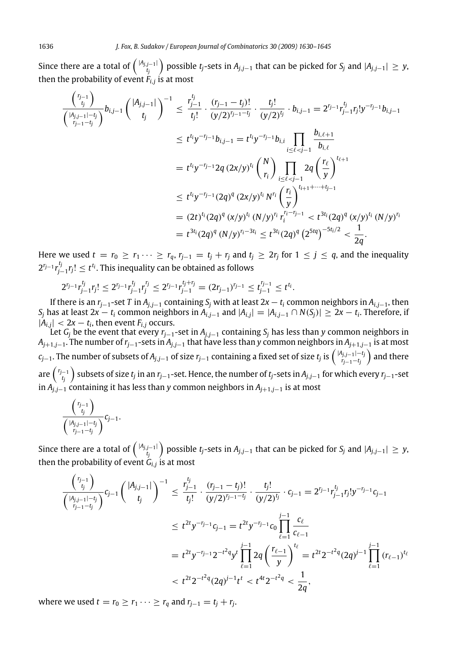Since there are a total of  $\binom{|A_{j,j-1}|}{t_j}$  possible  $t_j$ -sets in  $A_{j,j-1}$  that can be picked for  $S_j$  and  $|A_{j,j-1}|\ge y$ , then the probability of event *Fi*,*<sup>j</sup>* is at most

$$
\frac{{\binom{r_{j-1}}{t_j}}}{\binom{|A_{j,j-1}|-t_j}{t_j}}b_{i,j-1}\left(\frac{|A_{j,j-1}|}{t_j}\right)^{-1} \leq \frac{r_{j-1}^{t_j}}{t_j!} \cdot \frac{(r_{j-1}-t_j)!}{(y/2)^{r_{j-1}-t_j}} \cdot \frac{t_j!}{(y/2)^{t_j}} \cdot b_{i,j-1} = 2^{r_{j-1}}r_{j-1}^{t_j}r_j!y^{-r_{j-1}}b_{i,j-1}
$$
\n
$$
\leq t^{t_i}y^{-r_{j-1}}b_{i,j-1} = t^{t_i}y^{-r_{j-1}}b_{i,i} \prod_{i \leq \ell < j-1} \frac{b_{i,\ell+1}}{b_{i,\ell}}
$$
\n
$$
= t^{t_i}y^{-r_{j-1}}2q(2x/y)^{t_i}\binom{N}{r_i} \prod_{i \leq \ell < j-1} 2q\left(\frac{r_{\ell}}{y}\right)^{t_{\ell+1}}
$$
\n
$$
\leq t^{t_i}y^{-r_{j-1}}(2q)^q(2x/y)^{t_i}N^{r_i}\left(\frac{r_i}{y}\right)^{t_{i+1}+\cdots+t_{j-1}}
$$
\n
$$
= (2t)^{t_i}(2q)^q(x/y)^{t_i}N/y^{r_i}r_i^{r_i-r_{j-1}} < t^{3t_i}(2q)^q(x/y)^{t_i}(N/y)^{r_i}
$$
\n
$$
= t^{3t_i}(2q)^q(N/y)^{r_i-3t_i} \leq t^{3t_i}(2q)^q(2^{5tq})^{-5t_i/2} < \frac{1}{2q}.
$$

Here we used  $t = r_0 \ge r_1 \cdots \ge r_q$ ,  $r_{j-1} = t_j + r_j$  and  $t_j \ge 2r_j$  for  $1 \le j \le q$ , and the inequality 2 *<sup>r</sup>j*−<sup>1</sup> *r tj j*−1 *rj* ! ≤ *t ti* . This inequality can be obtained as follows

$$
2^{r_{j-1}}r_{j-1}^{t_j}r_j! \leq 2^{r_{j-1}}r_{j-1}^{t_j}r_j^{r_j} \leq 2^{r_{j-1}}r_{j-1}^{t_j+r_j} = (2r_{j-1})^{r_{j-1}} \leq t_{j-1}^{t_{j-1}} \leq t^{t_i}.
$$

If there is an  $r_{j-1}$ -set *T* in  $A_{i,j-1}$  containing  $S_j$  with at least  $2x - t_i$  common neighbors in  $A_{i,j-1}$ , then S<sub>j</sub> has at least 2x  $-$  t<sub>i</sub> common neighbors in  $A_{i,j-1}$  and  $|A_{i,j}| = |A_{i,j-1} \cap N(S_j)| \ge 2x - t_i$ . Therefore, if  $|\dot{A}_{i,j}| < 2x - t_i$ , then event  $F_{i,j}$  occurs.

Let *G*<sub>*j*</sub> be the event that every  $r_{j-1}$ -set in  $A_{j,j-1}$  containing  $S_j$  has less than *y* common neighbors in  $A_{i+1,j-1}$ . The number of  $r_{i-1}$ -sets in  $A_{i,j-1}$  that have less than *y* common neighbors in  $A_{i+1,j-1}$  is at most  $c_{j-1}.$  The number of subsets of  $A_{j,j-1}$  of size  $r_{j-1}$  containing a fixed set of size  $t_j$  is  $\left(\frac{|A_{j,j-1}|-t_j}{r_{j-1}-t_j}\right)$  and there are *rj*−1 *tj* subsets of size *t<sup>j</sup>* in an *rj*−1-set. Hence, the number of *tj*-sets in *Aj*,*j*−<sup>1</sup> for which every *rj*−1-set in *Aj*,*j*−<sup>1</sup> containing it has less than *y* common neighbors in *Aj*+1,*j*−<sup>1</sup> is at most

$$
\frac{\binom{r_{j-1}}{t_j}}{\binom{|\mathcal{A}_{j,j-1}|-t_j}{r_{j-1}-t_j}}C_{j-1}.
$$

Since there are a total of  $\binom{|A_{j,j-1}|}{t_j}$  possible  $t_j$ -sets in  $A_{j,j-1}$  that can be picked for  $S_j$  and  $|A_{j,j-1}|\geq y,$ then the probability of event *Gi*,*<sup>j</sup>* is at most

$$
\frac{{r_{j-1} \choose t_j}}{{\binom{|A_{j,j-1}|-t_j}{r_{j-1}-t_j}}}c_{j-1}\left(\frac{|A_{j,j-1}|}{t_j}\right)^{-1} \le \frac{r_{j-1}^{t_j}}{t_j!} \cdot \frac{(r_{j-1}-t_j)!}{(y/2)^{r_{j-1}-t_j}} \cdot \frac{t_j!}{(y/2)^{t_j}} \cdot c_{j-1} = 2^{r_{j-1}}r_{j-1}^{t_j}!y^{-r_{j-1}}c_{j-1}
$$
\n
$$
\le t^{2t}y^{-r_{j-1}}c_{j-1} = t^{2t}y^{-r_{j-1}}c_0 \prod_{\ell=1}^{j-1} \frac{c_{\ell}}{c_{\ell-1}}
$$
\n
$$
= t^{2t}y^{-r_{j-1}}2^{-t^2}y^t \prod_{\ell=1}^{j-1} 2q\left(\frac{r_{\ell-1}}{y}\right)^{t_\ell} = t^{2t}2^{-t^2}q(2q)^{j-1} \prod_{\ell=1}^{j-1} (r_{\ell-1})^{t_\ell}
$$
\n
$$
< t^{2t}2^{-t^2}q(2q)^{j-1}t^t < t^{4t}2^{-t^2}q < \frac{1}{2q},
$$

where we used  $t = r_0 \ge r_1 \cdots \ge r_q$  and  $r_{j-1} = t_j + r_j$ .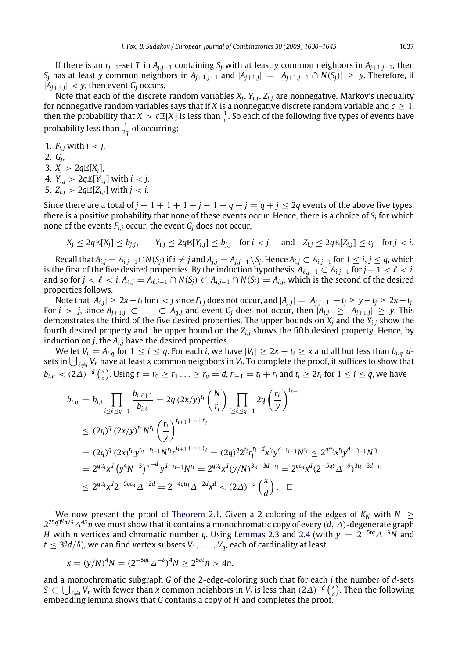If there is an  $r_{j-1}$ -set *T* in  $A_{j,j-1}$  containing  $S_j$  with at least *y* common neighbors in  $A_{j+1,j-1}$ , then *S*<sup>*j*</sup> has at least *y* common neighbors in  $A$ <sup>*j*+1,*j*−1 and  $|A$ <sup>*j*+1,*j*</sub> | =  $|A$ <sup>*j*+1,*j*−1 ∩ *N*(*S*<sup>*j*</sup>)| ≥ *y*. Therefore, if</sup></sup></sup>  $|A_{j+1,j}| < y$ , then event  $G_j$  occurs.

Note that each of the discrete random variables  $X_i$ ,  $Y_{i,i}$ ,  $Z_{i,j}$  are nonnegative. Markov's inequality for nonnegative random variables says that if *X* is a nonnegative discrete random variable and  $c \geq 1$ , then the probability that  $X > c \mathbb{E}[X]$  is less than  $\frac{1}{c}$ . So each of the following five types of events have probability less than  $\frac{1}{2q}$  of occurring:

1.  $F_{i,j}$  with  $i < j$ , 2. *G<sup>j</sup>* , 3.  $X_i > 2qE[X_i],$ 4.  $Y_{i,j} > 2q \mathbb{E}[Y_{i,j}]$  with  $i < j$ , 5.  $Z_{i,j} > 2qE[Z_{i,j}]$  with  $j < i$ .

Since there are a total of  $j - 1 + 1 + 1 + j - 1 + q - j = q + j \leq 2q$  events of the above five types, there is a positive probability that none of these events occur. Hence, there is a choice of *S<sup>j</sup>* for which none of the events  $F_{i,j}$  occur, the event  $G_i$  does not occur,

$$
X_j \leq 2q \mathbb{E}[X_j] \leq b_{j,j}, \qquad Y_{i,j} \leq 2q \mathbb{E}[Y_{i,j}] \leq b_{j,j} \quad \text{for } i < j, \quad \text{and} \quad Z_{i,j} \leq 2q \mathbb{E}[Z_{i,j}] \leq c_j \quad \text{for } j < i.
$$

Recall that  $A_{i,j} = A_{i,j-1} \cap N(S_j)$  if  $i \neq j$  and  $A_{j,j} = A_{j,j-1} \setminus S_j$ . Hence  $A_{i,j} \subset A_{i,j-1}$  for  $1 \leq i, j \leq q$ , which is the first of the five desired properties. By the induction hypothesis,  $A_{\ell,j-1} \subset A_{i,j-1}$  for  $j-1 < \ell < i$ , and so for  $j < \ell < i$ ,  $A_{\ell,j} = A_{\ell,j-1} \cap N(S_j) \subset A_{i,j-1} \cap N(S_j) = A_{i,j}$ , which is the second of the desired properties follows.

Note that  $|A_{i,j}| \ge 2x - t_i$  for  $i < j$  since  $F_{i,j}$  does not occur, and  $|A_{j,j}| = |A_{j,j-1}| - t_j \ge y - t_j \ge 2x - t_j$ . For  $i > j$ , since  $A_{j+1,j} \subset \cdots \subset A_{q,j}$  and event  $G_j$  does not occur, then  $|A_{i,j}| \geq |A_{j+1,j}| \geq y$ . This demonstrates the third of the five desired properties. The upper bounds on *X<sup>j</sup>* and the *Yi*,*<sup>j</sup>* show the fourth desired property and the upper bound on the *Zi*,*<sup>j</sup>* shows the fifth desired property. Hence, by induction on  $j$ , the  $A_{i,j}$  have the desired properties.

We let  $V_i = A_{i,q}$  for  $1 \leq i \leq q$ . For each i, we have  $|V_i| \geq 2x - t_i \geq x$  and all but less than  $b_{i,q}$  dsets in  $\bigcup_{\ell\neq i}V_\ell$  have at least *x* common neighbors in  $V_i$ . To complete the proof, it suffices to show that  $b_{i,q}<(2\Delta)^{-d}\binom{x}{d}$ . Using  $t=r_0\geq r_1\ldots\geq r_q=d$ ,  $r_{i-1}=t_i+r_i$  and  $t_i\geq 2r_i$  for  $1\leq i\leq q$ , we have

$$
b_{i,q} = b_{i,i} \prod_{i \leq \ell \leq q-1} \frac{b_{i,\ell+1}}{b_{i,\ell}} = 2q (2x/y)^{t_i} {N \choose r_i} \prod_{i \leq \ell \leq q-1} 2q \left(\frac{r_{\ell}}{y}\right)^{t_{\ell+1}}
$$
  
\n
$$
\leq (2q)^q (2x/y)^{t_i} N^{r_i} \left(\frac{r_i}{y}\right)^{t_{i+1}+\cdots+t_q}
$$
  
\n
$$
= (2q)^q (2x)^{t_i} y^{r_q-r_{i-1}} N^{r_i} r_i^{t_{i+1}+\cdots+t_q} = (2q)^q 2^{t_i} r_i^{r_i-d} x^{t_i} y^{d-r_{i-1}} N^{r_i} \leq 2^{qtt_i} x^{t_i} y^{d-r_{i-1}} N^{r_i}
$$
  
\n
$$
= 2^{qtt_i} x^d (y^4 N^{-3})^{t_i-d} y^{d-r_{i-1}} N^{r_i} = 2^{qtt_i} x^d (y/N)^{3t_i-3d-r_i} = 2^{qtt_i} x^d (2^{-5qt} \Delta^{-\delta})^{3t_i-3d-r_i}
$$
  
\n
$$
\leq 2^{qtt_i} x^d 2^{-5qtt_i} \Delta^{-2d} = 2^{-4qtt_i} \Delta^{-2d} x^d < (2\Delta)^{-d} {X \choose d}. \quad \Box
$$

We now present the proof of [Theorem 2.1.](#page-2-0) Given a 2-coloring of the edges of  $K_N$  with  $N \geq$ 2<sup>25q3q</sup>d/δ ∆<sup>4δ</sup>n we must show that it contains a monochromatic copy of every (*d*, ∆)-degenerate graph *H* with *n* vertices and chromatic number *q*. Using [Lemmas 2.3](#page-3-1) and [2.4](#page-4-0) (with *y* = 2 <sup>−</sup>5*tq*∆−δ*N* and  $t \leq 3^q d/\delta$ ), we can find vertex subsets  $V_1, \ldots, V_q$ , each of cardinality at least

$$
x = (y/N)^4 N = (2^{-5qt} \Delta^{-\delta})^4 N \ge 2^{5qt} n > 4n,
$$

and a monochromatic subgraph *G* of the 2-edge-coloring such that for each *i* the number of *d*-sets *S* ⊂  $\bigcup_{\ell \neq i} V_{\ell}$  with fewer than *x* common neighbors in *V*<sub>*i*</sub> is less than  $(2\Delta)^{-d} {x \choose d}$ . Then the following embedding lemma shows that *G* contains a copy of *H* and completes the proof.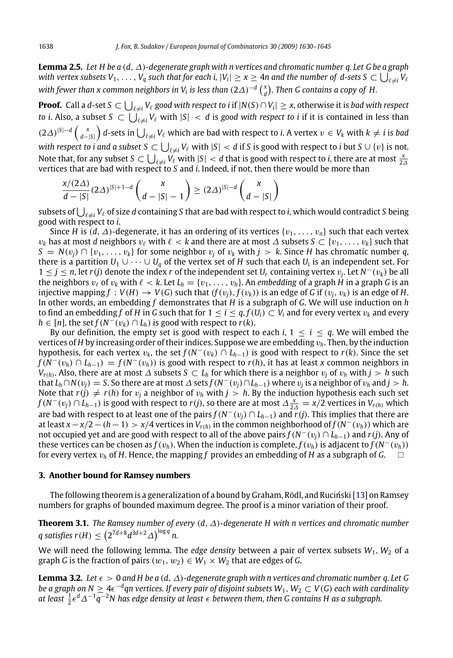**Lemma 2.5.** *Let H be a* (*d*, ∆)*-degenerate graph with n vertices and chromatic number q. Let G be a graph* with vertex subsets  $V_1,\ldots,V_q$  such that for each i,  $|V_i|\geq x\geq 4$ n and the number of  $d$ -sets S  $\subset\bigcup_{\ell\neq i}V_\ell$ with fewer than x common neighbors in V<sub>i</sub> is less than  $(2\varDelta)^{-d}\left(\frac{x}{d}\right)$ . Then G contains a copy of H.

**Proof.** Call a d-set  $S\subset\bigcup_{\ell\neq i}V_\ell$  good with respect to i if  $|N(S)\cap V_i|\geq x$ , otherwise it is *bad with respect*  $t$ o *i.* Also, a subset  $S\, \subset\, \bigcup_{\ell\neq i} V_\ell$  with  $|S|\, <\, d$  is good with respect to  $i$  if it is contained in less than  $(2\Delta)^{|S|-d} \left( \frac{x}{d-|S|} \right)$ d-sets in  $\bigcup_{\ell \neq i} V_{\ell}$  which are bad with respect to *i*. A vertex  $v \in V_k$  with  $k \neq i$  is *bad* with respect to  $i$  and a subset  $S\subset\bigcup_{\ell\neq i}V_\ell$  with  $|S|< d$  if  $S$  is good with respect to  $i$  but  $S\cup\{v\}$  is not. Note that, for any subset  $S \subset \bigcup_{\ell \neq i} V_\ell$  with  $|S| < d$  that is good with respect to *i*, there are at most  $\frac{x}{2\Delta}$ vertices that are bad with respect to *S* and *i*. Indeed, if not, then there would be more than

$$
\frac{x/(2\Delta)}{d-|S|}(2\Delta)^{|S|+1-d}\binom{x}{d-|S|-1}\geq (2\Delta)^{|S|-d}\binom{x}{d-|S|}
$$

subsets of  $\bigcup_{\ell\neq i}V_\ell$  of size  $d$  containing  $S$  that are bad with respect to  $i$ , which would contradict  $S$  being good with respect to *i*.

Since *H* is (*d*,  $\Delta$ )-degenerate, it has an ordering of its vertices { $v_1, \ldots, v_n$ } such that each vertex  $v_k$  has at most *d* neighbors  $v_\ell$  with  $\ell < k$  and there are at most ∆ subsets  $S \subset \{v_1, \ldots, v_k\}$  such that *S* = *N*(*v<sub>i</sub>*) ∩ {*v*<sub>1</sub>, ..., *v<sub>k</sub>*} for some neighbor *v<sub>i</sub>* of *v<sub>k</sub>* with *j* > *k*. Since *H* has chromatic number *q*, there is a partition  $U_1 \cup \cdots \cup U_q$  of the vertex set of  $H$  such that each  $U_i$  is an independent set. For  $1 ≤ j ≤ n$ , let *r*(*j*) denote the index *r* of the independent set *U<sub>r</sub>* containing vertex *v<sub>j</sub>*. Let *N*<sup>−</sup>(*v<sub>k</sub>*) be all the neighbors  $v_\ell$  of  $v_k$  with  $\ell < k$ . Let  $L_h = \{v_1, \ldots, v_h\}$ . An *embedding* of a graph *H* in a graph *G* is an injective mapping  $f : V(H) \to V(G)$  such that  $(f(v_i), f(v_k))$  is an edge of *G* if  $(v_i, v_k)$  is an edge of *H*. In other words, an embedding *f* demonstrates that *H* is a subgraph of *G*. We will use induction on *h* to find an embedding *f* of *H* in *G* such that for  $1 \le i \le q$ ,  $f(U_i) \subset V_i$  and for every vertex  $v_k$  and every *h* ∈ [*n*], the set *f*( $N^{-}(v_k)$  ∩ *L*<sub>*h*</sub>) is good with respect to *r*(*k*).

By our definition, the empty set is good with respect to each *i*,  $1 \le i \le q$ . We will embed the vertices of *H* by increasing order of their indices. Suppose we are embedding v*h*. Then, by the induction hypothesis, for each vertex  $v_k$ , the set  $f(N^-(v_k) \cap L_{h-1})$  is good with respect to  $r(k)$ . Since the set *f*( $\overline{N}$ <sup>−</sup>( $v_h$ ) ∩ *L*<sub>*h*−1</sub>) = *f*( $N$ <sup>−</sup>( $v_h$ )) is good with respect to *r*(*h*), it has at least *x* common neighbors in *V*<sup>*r*</sup>(*h*). Also, there are at most ∆ subsets *S* ⊂ *L*<sub>*h*</sub> for which there is a neighbor  $v_j$  of  $v_h$  with *j* > *h* such  $\det L_h \cap N(v_j) = S.$  So there are at most  $\varDelta$  sets  $f(N^-(v_j) \cap L_{h-1})$  where  $v_j$  is a neighbor of  $v_h$  and  $j > h.$ Note that  $r(j) \neq r(h)$  for  $v_j$  a neighbor of  $v_h$  with  $j > h$ . By the induction hypothesis each such set *f*( $N^-(v_j) ∩ L_{h-1}$ ) is good with respect to *r*(*j*), so there are at most  $\Delta \frac{x}{2\Delta} = x/2$  vertices in  $V_{r(h)}$  which are bad with respect to at least one of the pairs *f*(*N* <sup>−</sup>(v*j*) ∩ *<sup>L</sup>h*−1) and *<sup>r</sup>*(*j*). This implies that there are at least *x*−*x*/2−(*h*−1) > *x*/4 vertices in *Vr*(*h*) in the common neighborhood of *f*(*N* <sup>−</sup>(v*h*)) which are not occupied yet and are good with respect to all of the above pairs *f*(*N* <sup>−</sup>(v*j*) ∩ *<sup>L</sup>h*−1) and *<sup>r</sup>*(*j*). Any of these vertices can be chosen as  $f(v_h)$ . When the induction is complete,  $f(v_h)$  is adjacent to  $f(N^-(v_h))$ for every vertex  $v_h$  of *H*. Hence, the mapping *f* provides an embedding of *H* as a subgraph of *G*.  $\Box$ 

#### <span id="page-8-0"></span>**3. Another bound for Ramsey numbers**

The following theorem is a generalization of a bound by Graham, Rödl, and Ruciński [\[13\]](#page-15-7) on Ramsey numbers for graphs of bounded maximum degree. The proof is a minor variation of their proof.

<span id="page-8-1"></span>**Theorem 3.1.** *The Ramsey number of every* (*d*, ∆)*-degenerate H with n vertices and chromatic number q* satisfies  $r(H)$  ≤  $(2^{7d+8}d^{3d+2}∆)^{\log q}$  *n*.

We will need the following lemma. The *edge density* between a pair of vertex subsets  $W_1$ ,  $W_2$  of a graph *G* is the fraction of pairs  $(w_1, w_2) \in W_1 \times W_2$  that are edges of *G*.

<span id="page-8-2"></span>**Lemma 3.2.** *Let*  $\epsilon > 0$  *and* H *be* a (*d*,  $\Delta$ )-degenerate graph with n vertices and chromatic number q. Let G be a graph on N  $\geq 4\epsilon^{-d}$ qn vertices. If every pair of disjoint subsets W $_1,$  W $_2$   $\subset$  V(G) each with cardinality at least  $\frac{1}{2} \epsilon^d \Delta^{-1} \overline{q}^{-2}N$  has edge density at least  $\epsilon$  between them, then G contains H as a subgraph.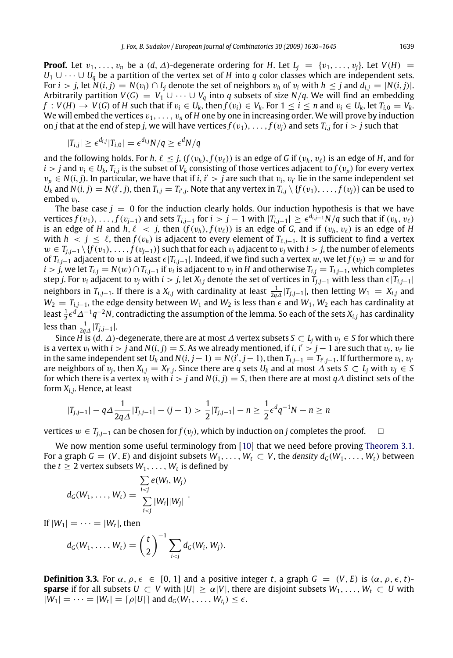**Proof.** Let  $v_1, \ldots, v_n$  be a  $(d, \Delta)$ -degenerate ordering for *H*. Let  $L_i = \{v_1, \ldots, v_i\}$ . Let  $V(H) =$ *U*<sub>1</sub> ∪  $\cdots$  ∪ *U*<sub>*a*</sub> be a partition of the vertex set of *H* into *q* color classes which are independent sets. For  $i > j$ , let  $N(i, j) = N(v_i) \cap L_j$  denote the set of neighbors  $v_h$  of  $v_i$  with  $h \leq j$  and  $d_{i,j} = |N(i, j)|$ . Arbitrarily partition  $V(G) = V_1 \cup \cdots \cup V_q$  into *q* subsets of size  $N/q$ . We will find an embedding  $f: V(H) \to V(G)$  of H such that if  $v_i \in U_k$ , then  $f(v_i) \in V_k$ . For  $1 \le i \le n$  and  $v_i \in U_k$ , let  $T_{i,0} = V_k$ . We will embed the vertices  $v_1, \ldots, v_n$  of *H* one by one in increasing order. We will prove by induction on *j* that at the end of step *j*, we will have vertices  $f(v_1), \ldots, f(v_j)$  and sets  $T_{i,j}$  for  $i > j$  such that

$$
|T_{i,j}| \geq \epsilon^{d_{i,j}} |T_{i,0}| = \epsilon^{d_{i,j}} N/q \geq \epsilon^d N/q
$$

and the following holds. For  $h, \ell \leq j$ ,  $(f(v_h), f(v_\ell))$  is an edge of *G* if  $(v_h, v_\ell)$  is an edge of *H*, and for  $i > j$  and  $v_i \in U_k$ ,  $T_{i,j}$  is the subset of  $V_k$  consisting of those vertices adjacent to  $f(v_p)$  for every vertex  $v_p \in N(i, j)$ . In particular, we have that if *i*, *i'* > *j* are such that  $v_i$ ,  $v_{i'}$  lie in the same independent set  $\dot{U_k}$  and  $N(i,j) = N(i',j)$ , then  $T_{i,j} = T_{i',j}$ . Note that any vertex in  $T_{i,j} \setminus \{f(v_1), \ldots, f(v_j)\}$  can be used to embed v*<sup>i</sup>* .

The base case  $j = 0$  for the induction clearly holds. Our induction hypothesis is that we have vertices  $f(v_1),\ldots,f(v_{j-1})$  and sets  $T_{i,j-1}$  for  $i>j-1$  with  $|T_{i,j-1}|\geq \epsilon^{d_{i,j-1}}N/q$  such that if  $(v_h,v_\ell)$ is an edge of *H* and  $h, \ell < j$ , then  $(f(v_h), f(v_\ell))$  is an edge of *G*, and if  $(v_h, v_\ell)$  is an edge of *H* with  $h < j \leq \ell$ , then  $f(v_h)$  is adjacent to every element of  $T_{\ell,i-1}$ . It is sufficient to find a vertex  $w ∈ T_{j,j-1} \setminus {f(v_1), \ldots, f(v_{j-1})}$  such that for each  $v_i$  adjacent to  $v_j$  with  $i > j$ , the number of elements of  $T_{i,i-1}$  adjacent to w is at least  $\epsilon |T_{i,i-1}|$ . Indeed, if we find such a vertex w, we let  $f(v_i) = w$  and for  $i>j$ , we let  $T_{i,j}=N(w)\cap T_{i,j-1}$  if  $v_i$  is adjacent to  $v_j$  in  $H$  and otherwise  $T_{i,j}=T_{i,j-1}$ , which completes step *j*. For  $v_i$  adjacent to  $v_j$  with  $i > j$ , let  $X_{i,j}$  denote the set of vertices in  $T_{j,j-1}$  with less than  $\epsilon |T_{i,j-1}|$ neighbors in  $T_{i,j-1}$ . If there is a  $X_{i,j}$  with cardinality at least  $\frac{1}{2q\Delta}|T_{j,j-1}|$ , then letting  $W_1 = X_{i,j}$  and *W*<sub>2</sub> = *T*<sub>*i*</sub><sub>j</sub>−1</sub>, the edge density between *W*<sub>1</sub> and *W*<sub>2</sub> is less than  $\epsilon$  and *W*<sub>1</sub>, *W*<sub>2</sub> each has cardinality at least  $\frac{1}{2}$ ∈<sup>*d*</sup>∆<sup>−1</sup>q<sup>−2</sup>N, contradicting the assumption of the lemma. So each of the sets *X<sub>i,j</sub>* has cardinality less than  $\frac{1}{2q\Delta}|T_{j,j-1}|$ .

Since *H* is (*d*,  $\Delta$ )-degenerate, there are at most  $\Delta$  vertex subsets *S* ⊂ *L*<sub>*j*</sub> with  $v_i \in S$  for which there is a vertex  $v_i$  with  $i > j$  and  $N(i, j) = S$ . As we already mentioned, if  $i, i' > j - 1$  are such that  $v_i, v_{i'}$  lie in the same independent set  $U_k$  and  $N(i, j-1) = N(i', j-1)$ , then  $T_{i,j-1} = T_{i', j-1}$ . If furthermore  $v_i, v_{i'}$ are neighbors of  $v_j$ , then  $X_{i,j} = X_{i',j}$ . Since there are q sets  $U_k$  and at most  $\Delta$  sets  $S \subset L_j$  with  $v_j \in S$ for which there is a vertex  $v_i$  with  $i > j$  and  $N(i, j) = S$ , then there are at most  $q\Delta$  distinct sets of the form *Xi*,*<sup>j</sup>* . Hence, at least

$$
|T_{j,j-1}| - q\Delta \frac{1}{2q\Delta} |T_{j,j-1}| - (j-1) > \frac{1}{2} |T_{j,j-1}| - n \ge \frac{1}{2} \epsilon^d q^{-1} N - n \ge n
$$

vertices  $w \in T_{i,i-1}$  can be chosen for  $f(v_i)$ , which by induction on *j* completes the proof. □

We now mention some useful terminology from [\[10\]](#page-15-13) that we need before proving [Theorem 3.1.](#page-8-1) For a graph  $G = (V, E)$  and disjoint subsets  $W_1, \ldots, W_t \subset V$ , the *density*  $d_G(W_1, \ldots, W_t)$  between the  $t \geq 2$  vertex subsets  $W_1, \ldots, W_t$  is defined by

$$
d_G(W_1,\ldots,W_t)=\frac{\sum\limits_{i
$$

If  $|W_1| = \cdots = |W_t|$ , then

$$
d_G(W_1, ..., W_t) = {t \choose 2}^{-1} \sum_{i < j} d_G(W_i, W_j).
$$

**Definition 3.3.** For  $\alpha$ ,  $\rho$ ,  $\epsilon \in [0, 1]$  and a positive integer *t*, a graph  $G = (V, E)$  is  $(\alpha, \rho, \epsilon, t)$ **sparse** if for all subsets  $U \subset V$  with  $|U| \ge \alpha |V|$ , there are disjoint subsets  $W_1, \ldots, W_t \subset U$  with  $|W_1| = \cdots = |W_t| = \lceil \rho |U| \rceil$  and  $d_G(W_1, \ldots, W_{t_i}) \leq \epsilon$ .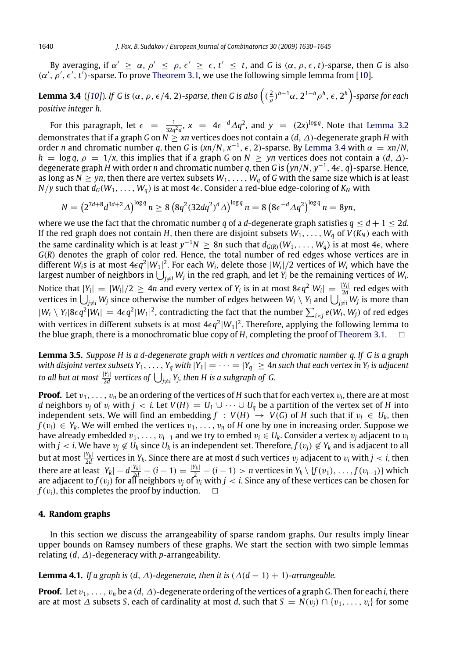By averaging, if  $\alpha' \ge \alpha$ ,  $\rho' \le \rho$ ,  $\epsilon' \ge \epsilon$ ,  $t' \le t$ , and *G* is  $(\alpha, \rho, \epsilon, t)$ -sparse, then *G* is also  $(\alpha', \rho', \epsilon', t')$ -sparse. To prove [Theorem 3.1,](#page-8-1) we use the following simple lemma from [\[10\]](#page-15-13).

<span id="page-10-2"></span>**Lemma 3.4** ([\[10\]](#page-15-13)). If G is ( $\alpha$ ,  $\rho$ ,  $\epsilon$ /4, 2)-sparse, then G is also  $\left( (\frac{2}{\rho})^{h-1}\alpha, 2^{1-h}\rho^h, \epsilon, 2^h \right)$ -sparse for each *positive integer h.*

For this paragraph, let  $\epsilon = \frac{1}{32q^2d}$ ,  $x = 4\epsilon^{-d}\Delta q^2$ , and  $y = (2x)^{\log q}$ . Note that [Lemma 3.2](#page-8-2) demonstrates that if a graph *G* on *N* ≥ *xn* vertices does not contain a (*d*, ∆)-degenerate graph *H* with order *n* and chromatic number *q*, then *G* is  $(xn/N, x^{-1}, \epsilon, 2)$ -sparse. By [Lemma 3.4](#page-10-2) with  $\alpha = xn/N$ ,  $h = \log q$ ,  $\rho = 1/x$ , this implies that if a graph *G* on  $N \geq yn$  vertices does not contain a  $(d, \Delta)$ degenerate graph  $H$  with order  $n$  and chromatic number  $q$ , then  $G$  is  $( y n/N, y^{-1}, 4\epsilon, q)$ -sparse. Hence, as long as  $N \geq yn$ , then there are vertex subsets  $W_1, \ldots, W_q$  of *G* with the same size which is at least *N*/*y* such that  $d_G(W_1, \ldots, W_q)$  is at most 4 $\epsilon$ . Consider a red-blue edge-coloring of  $K_N$  with

$$
N = \left(2^{7d+8}d^{3d+2}\Delta\right)^{\log q} n \ge 8 \left(8q^2(32dq^2)^d\Delta\right)^{\log q} n = 8 \left(8\epsilon^{-d}\Delta q^2\right)^{\log q} n = 8yn,
$$

where we use the fact that the chromatic number *q* of a *d*-degenerate graph satisfies  $q \leq d + 1 \leq 2d$ . If the red graph does not contain *H*, then there are disjoint subsets  $W_1, \ldots, W_q$  of  $V(K_N)$  each with the same cardinality which is at least  $y^{-1}N\,\ge\,8n$  such that  $d_{G(R)}(W_1,\,\ldots\,,\,W_q)$  is at most 4 $\epsilon$ , where *G*(*R*) denotes the graph of color red. Hence, the total number of red edges whose vertices are in different  $W_i$ s is at most 4 $\epsilon q^2 |W_1|^2$ . For each  $W_i$ , delete those  $|W_i|/2$  vertices of  $W_i$  which have the largest number of neighbors in  $\bigcup_{j\neq i}W_j$  in the red graph, and let  $Y_i$  be the remaining vertices of  $W_i$ . Notice that  $|Y_i| = |W_i|/2 \ge 4n$  and every vertex of  $Y_i$  is in at most  $8\epsilon q^2 |W_i| = \frac{|Y_i|}{2d}$  $\frac{d}{2d}$  red edges with vertices in  $\bigcup_{j\neq i}W_j$  since otherwise the number of edges between  $W_i\setminus Y_i$  and  $\bigcup_{j\neq i}W_j$  is more than  $|W_i \setminus Y_i|$ 8 $\epsilon q^2 |W_i| = 4\epsilon q^2 |W_1|^2$ , contradicting the fact that the number  $\sum_{i < j} e(W_i, W_j)$  of red edges with vertices in different subsets is at most 4 $\epsilon q^2 |W_1|^2$ . Therefore, applying the following lemma to the blue graph, there is a monochromatic blue copy of *H*, completing the proof of [Theorem 3.1.](#page-8-1)

**Lemma 3.5.** *Suppose H is a d-degenerate graph with n vertices and chromatic number q. If G is a graph with disjoint vertex subsets*  $Y_1, \ldots, Y_q$  *with*  $|Y_1| = \cdots = |Y_q| \geq 4n$  such that each vertex in  $Y_i$  is adjacent *to all but at most*  $\frac{|Y_i|}{2d}$  $\frac{|Y_i|}{2d}$  vertices of  $\bigcup_{j\neq i} Y_j$ , then H is a subgraph of G.

**Proof.** Let  $v_1, \ldots, v_n$  be an ordering of the vertices of H such that for each vertex  $v_i$ , there are at most *d* neighbors  $v_i$  of  $v_i$  with  $j < i$ . Let  $V(H) = U_1 \cup \cdots \cup U_q$  be a partition of the vertex set of *H* into independent sets. We will find an embedding  $f : V(H) \rightarrow V(G)$  of *H* such that if  $v_i \in U_k$ , then *f*( $v_i$ ) ∈  $Y_k$ . We will embed the vertices  $v_1, \ldots, v_n$  of *H* one by one in increasing order. Suppose we have already embedded  $v_1, \ldots, v_{i-1}$  and we try to embed  $v_i \in U_k$ . Consider a vertex  $v_i$  adjacent to  $v_i$ with  $j < i$ . We have  $v_j \not\in U_k$  since  $U_k$  is an independent set. Therefore,  $f(v_j) \not\in Y_k$  and is adjacent to all but at most  $\frac{|Y_k|}{2d}$  $\frac{Y_k}{2d}$  vertices in  $Y_k$ . Since there are at most *d* such vertices  $v_j$  adjacent to  $v_i$  with  $j < i$ , then there are at least  $|Y_k| - d\frac{|Y_k|}{2d} - (i-1) = \frac{|Y_k|}{2} - (i-1) > n$  vertices in  $Y_k \setminus \{f(v_1), \ldots, f(v_{i-1})\}$  which are adjacent to  $f(v_j)$  for all neighbors  $v_j$  of  $v_i$  with  $j < i$ . Since any of these vertices can be chosen for  $f(v_i)$ , this completes the proof by induction.

#### <span id="page-10-1"></span>**4. Random graphs**

In this section we discuss the arrangeability of sparse random graphs. Our results imply linear upper bounds on Ramsey numbers of these graphs. We start the section with two simple lemmas relating (*d*, ∆)-degeneracy with *p*-arrangeability.

<span id="page-10-0"></span>**Lemma 4.1.** *If a graph is*  $(d, \Delta)$ *-degenerate, then it is*  $(\Delta(d-1)+1)$ *-arrangeable.* 

**Proof.** Let  $v_1, \ldots, v_n$  be a  $(d, \Delta)$ -degenerate ordering of the vertices of a graph *G*. Then for each *i*, there are at most  $\Delta$  subsets *S*, each of cardinality at most *d*, such that  $S = N(v_i) \cap \{v_1, \ldots, v_i\}$  for some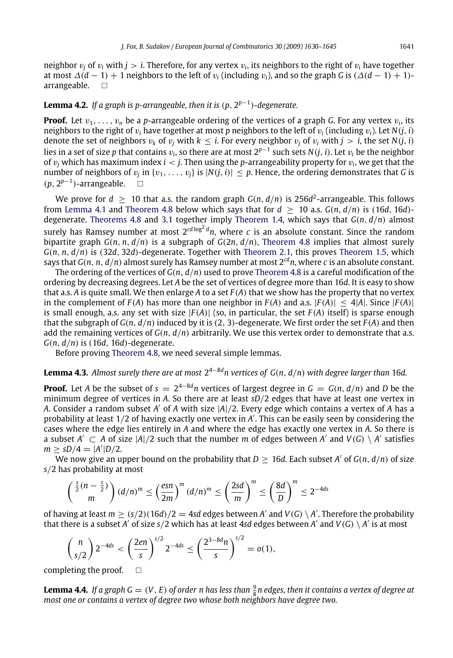neighbor  $v_j$  of  $v_i$  with  $j > i$ . Therefore, for any vertex  $v_i$ , its neighbors to the right of  $v_i$  have together at most  $\Delta(d-1) + 1$  neighbors to the left of  $v_i$  (including  $v_i$ ), and so the graph *G* is  $(\Delta(d-1) + 1)$ arrangeable.  $\square$ 

## <span id="page-11-0"></span>**Lemma 4.2.** *If a graph is p-arrangeable, then it is* (*p*, 2 *p*−1 )*-degenerate.*

**Proof.** Let  $v_1, \ldots, v_n$  be a p-arrangeable ordering of the vertices of a graph *G*. For any vertex  $v_i$ , its neighbors to the right of  $v_i$  have together at most p neighbors to the left of  $v_i$  (including  $v_i$ ). Let  $N(i, i)$ denote the set of neighbors  $v_k$  of  $v_j$  with  $k \leq i$ . For every neighbor  $v_j$  of  $v_j$  with  $j > i$ , the set  $N(j, i)$ lies in a set of size p that contains  $v_i$ , so there are at most 2<sup>p−1</sup> such sets  $N(j,i)$ . Let  $v_i$  be the neighbor of v*<sup>j</sup>* which has maximum index *i* < *j*. Then using the *p*-arrangeability property for v*<sup>i</sup>* , we get that the number of neighbors of  $v_j$  in  $\{v_1, \ldots, v_j\}$  is  $|N(j, i)| \leq p$ . Hence, the ordering demonstrates that *G* is (*p*, 2 *p*−1 )-arrangeable.

We prove for  $d \geq 10$  that a.s. the random graph  $G(n, d/n)$  is 256 $d^2$ -arrangeable. This follows from [Lemma 4.1](#page-10-0) and [Theorem 4.8](#page-12-0) below which says that for  $d \ge 10$  a.s.  $G(n, d/n)$  is (16*d*, 16*d*)degenerate. [Theorems 4.8](#page-12-0) and [3.1](#page-8-1) together imply [Theorem 1.4,](#page-2-2) which says that *G*(*n*, *d*/*n*) almost surely has Ramsey number at most 2<sup>cd log2</sup> d<sub>n</sub>, where c is an absolute constant. Since the random bipartite graph  $G(n, n, d/n)$  is a subgraph of  $G(2n, d/n)$ , [Theorem 4.8](#page-12-0) implies that almost surely *G*(*n*, *n*, *d*/*n*) is (32*d*, 32*d*)-degenerate. Together with [Theorem 2.1,](#page-2-0) this proves [Theorem 1.5,](#page-2-3) which says that  $G(n, n, d/n)$  almost surely has Ramsey number at most  $2^{cd}n$ , where *c* is an absolute constant.

The ordering of the vertices of *G*(*n*, *d*/*n*) used to prove [Theorem 4.8](#page-12-0) is a careful modification of the ordering by decreasing degrees. Let *A* be the set of vertices of degree more than 16*d*. It is easy to show that a.s. *A* is quite small. We then enlarge *A* to a set *F* (*A*) that we show has the property that no vertex in the complement of  $F(A)$  has more than one neighbor in  $F(A)$  and a.s.  $|F(A)| \leq 4|A|$ . Since  $|F(A)|$ is small enough, a.s. any set with size |*F* (*A*)| (so, in particular, the set *F* (*A*) itself) is sparse enough that the subgraph of  $G(n, d/n)$  induced by it is  $(2, 3)$ -degenerate. We first order the set  $F(A)$  and then add the remaining vertices of *G*(*n*, *d*/*n*) arbitrarily. We use this vertex order to demonstrate that a.s. *G*(*n*, *d*/*n*) is (16*d*, 16*d*)-degenerate.

<span id="page-11-1"></span>Before proving [Theorem 4.8,](#page-12-0) we need several simple lemmas.

## **Lemma 4.3.** *Almost surely there are at most* 2 <sup>4</sup>−8*<sup>d</sup>n vertices of G*(*n*, *d*/*n*) *with degree larger than* 16*d.*

**Proof.** Let *A* be the subset of  $s = 2^{4-8d}n$  vertices of largest degree in  $G = G(n, d/n)$  and *D* be the minimum degree of vertices in *A*. So there are at least *sD*/2 edges that have at least one vertex in *A*. Consider a random subset *A* <sup>0</sup> of *A* with size |*A*|/2. Every edge which contains a vertex of *A* has a probability at least 1/2 of having exactly one vertex in A'. This can be easily seen by considering the cases where the edge lies entirely in *A* and where the edge has exactly one vertex in *A*. So there is a subset  $A' \subset A$  of size  $|A|/2$  such that the number *m* of edges between  $A'$  and  $V(G) \setminus A'$  satisfies  $m \geq sD/4 = |A'|D/2.$ 

We now give an upper bound on the probability that  $D \geq 16d$ . Each subset A' of G(n,  $d/n$ ) of size *s*/2 has probability at most

$$
\left(\frac{\frac{5}{2}(n-\frac{5}{2})}{m}\right)(d/n)^m \le \left(\frac{esn}{2m}\right)^m (d/n)^m \le \left(\frac{2sd}{m}\right)^m \le \left(\frac{8d}{D}\right)^m \le 2^{-4ds}
$$

of having at least  $m \ge (s/2)(16d)/2 = 4sd$  edges between *A'* and  $V(G) \setminus A'$ . Therefore the probability that there is a subset *A'* of size  $s/2$  which has at least 4sd edges between *A'* and  $V(G) \setminus A'$  is at most

$$
\binom{n}{s/2} 2^{-4ds} < \left(\frac{2en}{s}\right)^{s/2} 2^{-4ds} \le \left(\frac{2^{3-8d}n}{s}\right)^{s/2} = o(1),
$$

completing the proof.  $\square$ 

<span id="page-11-2"></span>**Lemma 4.4.** *If a graph G*  $= (V, E)$  *of order n has less than*  $\frac{9}{8}$ *n edges, then it contains a vertex of degree at* 8 *most one or contains a vertex of degree two whose both neighbors have degree two.*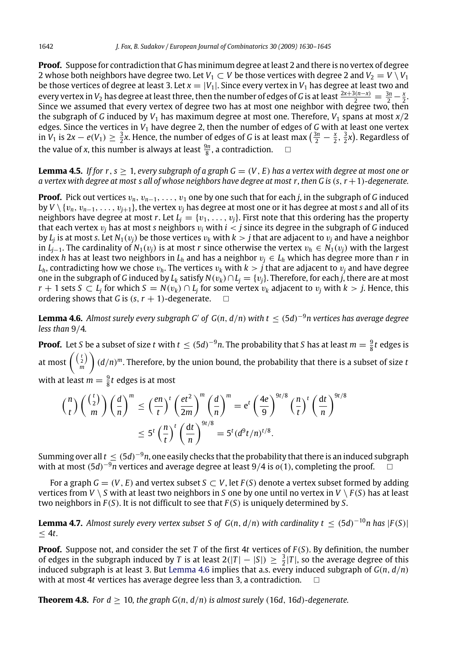**Proof.** Suppose for contradiction that *G* has minimum degree at least 2 and there is no vertex of degree 2 whose both neighbors have degree two. Let  $V_1 \subset V$  be those vertices with degree 2 and  $V_2 = V \setminus V_1$ be those vertices of degree at least 3. Let  $x = |V_1|$ . Since every vertex in  $V_1$  has degree at least two and every vertex in *V*<sub>2</sub> has degree at least three, then the number of edges of *G* is at least  $\frac{2x+3(n-x)}{2} = \frac{3n}{2} - \frac{x}{2}$ . Since we assumed that every vertex of degree two has at most one neighbor with degree two, then the subgraph of *G* induced by  $V_1$  has maximum degree at most one. Therefore,  $V_1$  spans at most  $x/2$ edges. Since the vertices in *V*<sup>1</sup> have degree 2, then the number of edges of *G* with at least one vertex in *V*<sub>1</sub> is 2*x* − *e*(*V*<sub>1</sub>) ≥  $\frac{3}{2}$ *x*. Hence, the number of edges of *G* is at least max  $(\frac{3n}{2} - \frac{x}{2}, \frac{3}{2}x)$ . Regardless of the value of *x*, this number is always at least  $\frac{9n}{8}$ , a contradiction.  $\Box$ 

<span id="page-12-3"></span>**Lemma 4.5.** *If for r*,  $s \geq 1$ , every subgraph of a graph  $G = (V, E)$  has a vertex with degree at most one or *a vertex with degree at most s all of whose neighbors have degree at most r, then G is* (*s*,*r* +1)*-degenerate.*

**Proof.** Pick out vertices  $v_n$ ,  $v_{n-1}$ , ...,  $v_1$  one by one such that for each *j*, in the subgraph of *G* induced by *V*  $\{v_n, v_{n-1}, \ldots, v_{i+1}\}$ , the vertex  $v_i$  has degree at most one or it has degree at most *s* and all of its neighbors have degree at most *r*. Let  $L_j = \{v_1, \ldots, v_j\}$ . First note that this ordering has the property that each vertex  $v_i$  has at most *s* neighbors  $v_i$  with  $i < j$  since its degree in the subgraph of *G* induced by *L<sup>j</sup>* is at most *s*. Let *N*1(v*j*) be those vertices v*<sup>k</sup>* with *k* > *j* that are adjacent to v*<sup>j</sup>* and have a neighbor in  $L_{i-1}$ . The cardinality of  $N_1(v_i)$  is at most *r* since otherwise the vertex  $v_h \n∈ N_1(v_i)$  with the largest index *h* has at least two neighbors in  $L_h$  and has a neighbor  $v_i \in L_h$  which has degree more than *r* in  $L_h$ , contradicting how we chose  $v_h$ . The vertices  $v_k$  with  $k > j$  that are adjacent to  $v_j$  and have degree one in the subgraph of *G* induced by  $L_k$  satisfy  $N(v_k) \cap L_j = \{v_j\}$ . Therefore, for each *j*, there are at most *r* + 1 sets *S* ⊂ *L*<sub>*j*</sub> for which *S* = *N*(*v*<sub>*k*</sub>) ∩ *L*<sub>*j*</sub> for some vertex *v*<sub>*k*</sub> adjacent to *v*<sub>*j*</sub> with *k* > *j*. Hence, this ordering shows that *G* is  $(s, r + 1)$ -degenerate.  $\Box$ 

<span id="page-12-1"></span>**Lemma 4.6.** Almost surely every subgraph G' of G(n, d/n) with t  $\leq$  (5d) $^{-9}$ n vertices has average degree *less than* 9/4*.*

**Proof.** Let *S* be a subset of size *t* with  $t \le (5d)^{-9}n$ . The probability that *S* has at least  $m = \frac{9}{8}t$  edges is at most  $\begin{pmatrix} \binom{t}{2} \\ m \end{pmatrix}$ *m* (*d*/*n*) *<sup>m</sup>*. Therefore, by the union bound, the probability that there is a subset of size *t* with at least  $m = \frac{9}{8}t$  edges is at most

$$
{n \choose t} {t \choose 2} {d \choose m}^m \le {en \choose t}^t \left(\frac{et^2}{2m}\right)^m \left(\frac{d}{n}\right)^m = e^t \left(\frac{4e}{9}\right)^{9t/8} \left(\frac{n}{t}\right)^t \left(\frac{dt}{n}\right)^{9t/8}
$$
  

$$
\leq 5^t \left(\frac{n}{t}\right)^t \left(\frac{dt}{n}\right)^{9t/8} = 5^t (d^9 t/n)^{t/8}.
$$

Summing over all  $t\leq (5d)^{-9}n$ , one easily checks that the probability that there is an induced subgraph with at most (5*d*) <sup>−</sup><sup>9</sup>*n* vertices and average degree at least 9/4 is *o*(1), completing the proof.

For a graph  $G = (V, E)$  and vertex subset  $S \subset V$ , let  $F(S)$  denote a vertex subset formed by adding vertices from *V* \ *S* with at least two neighbors in *S* one by one until no vertex in *V* \ *F* (*S*) has at least two neighbors in *F* (*S*). It is not difficult to see that *F* (*S*) is uniquely determined by *S*.

<span id="page-12-2"></span>**Lemma 4.7.** Almost surely every vertex subset S of G(n, d/n) with cardinality t  $\leq (5d)^{-10}$ n has  $|F(S)|$ ≤ 4*t.*

**Proof.** Suppose not, and consider the set *T* of the first 4*t* vertices of *F* (*S*). By definition, the number of edges in the subgraph induced by *T* is at least  $2(|T| - |S|) \ge \frac{3}{2}|T|$ , so the average degree of this induced subgraph is at least 3. But [Lemma 4.6](#page-12-1) implies that a.s. every induced subgraph of  $G(n, d/n)$ with at most 4*t* vertices has average degree less than 3, a contradiction.  $\square$ 

<span id="page-12-0"></span>**Theorem 4.8.** For  $d > 10$ , the graph  $G(n, d/n)$  is almost surely (16*d*, 16*d*)-degenerate.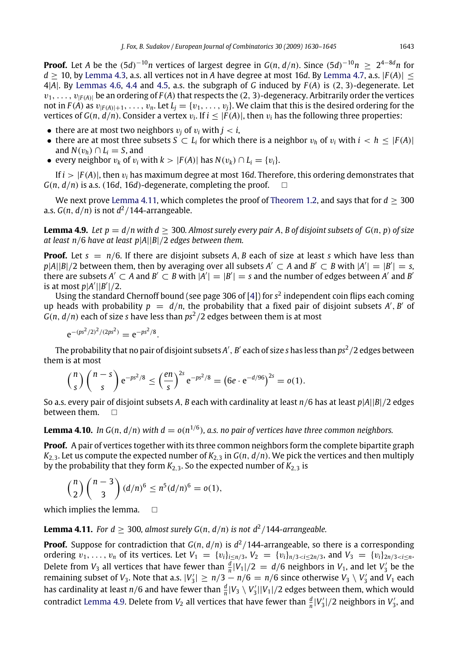**Proof.** Let *A* be the  $(5d)^{-10}n$  vertices of largest degree in  $G(n, d/n)$ . Since  $(5d)^{-10}n \geq 2^{4-8d}n$  for  $d > 10$ , by [Lemma 4.3,](#page-11-1) a.s. all vertices not in *A* have degree at most 16*d*. By [Lemma 4.7,](#page-12-2) a.s.  $|F(A)| <$ 4|*A*|. By [Lemmas 4.6,](#page-12-1) [4.4](#page-11-2) and [4.5,](#page-12-3) a.s. the subgraph of *G* induced by *F* (*A*) is (2, 3)-degenerate. Let  $v_1, \ldots, v_{|F(A)|}$  be an ordering of  $F(A)$  that respects the (2, 3)-degeneracy. Arbitrarily order the vertices not in *F*(*A*) as  $v_{|F(A)|+1}, \ldots, v_n$ . Let  $L_i = \{v_1, \ldots, v_i\}$ . We claim that this is the desired ordering for the vertices of  $G(n, d/n)$ . Consider a vertex  $v_i$ . If  $i \leq |F(A)|$ , then  $v_i$  has the following three properties:

- there are at most two neighbors  $v_i$  of  $v_i$  with  $j < i$ ,
- there are at most three subsets  $S \subset L_i$  for which there is a neighbor  $v_h$  of  $v_i$  with  $i < h \leq |F(A)|$ and  $N(v_h) \cap L_i = S$ , and
- every neighbor  $v_k$  of  $v_i$  with  $k > |F(A)|$  has  $N(v_k) \cap L_i = \{v_i\}.$

If  $i > |F(A)|$ , then  $v_i$  has maximum degree at most 16*d*. Therefore, this ordering demonstrates that  $G(n, d/n)$  is a.s. (16*d*, 16*d*)-degenerate, completing the proof.  $\square$ 

We next prove [Lemma 4.11,](#page-13-0) which completes the proof of [Theorem 1.2,](#page-1-0) and says that for  $d > 300$ a.s.  $G(n, d/n)$  is not  $d^2/144$ -arrangeable.

<span id="page-13-1"></span>**Lemma 4.9.** *Let p* =  $d/n$  *with*  $d \ge 300$ *. Almost surely every pair A, B of disjoint subsets of*  $G(n, p)$  *of size at least n*/6 *have at least p*|*A*||*B*|/2 *edges between them.*

**Proof.** Let  $s = n/6$ . If there are disjoint subsets A, B each of size at least *s* which have less than  $p|A||B|/2$  between them, then by averaging over all subsets  $A' \subset A$  and  $B' \subset B$  with  $|A'| = |B'| = s$ , there are subsets  $A' \subset A$  and  $B' \subset B$  with  $|A'| = |B'| = s$  and the number of edges between  $A'$  and  $B'$ is at most  $p|A'||B'|/2$ .

Using the standard Chernoff bound (see page 306 of [\[4\]](#page-14-5)) for *s* 2 independent coin flips each coming up heads with probability  $p = d/n$ , the probability that a fixed pair of disjoint subsets A', B' of  $G(n, d/n)$  each of size *s* have less than  $ps^2/2$  edges between them is at most

 $e^{-(ps^2/2)^2/(2ps^2)} = e^{-ps^2/8}.$ 

The probability that no pair of disjoint subsets *A'* , *B'* each of size  $s$  has less than  $ps^2/2$  edges between them is at most

$$
{\binom{n}{s}}{\binom{n-s}{s}}e^{-ps^2/8}\leq \left(\frac{en}{s}\right)^{2s}e^{-ps^2/8}=\left(6e\cdot e^{-d/96}\right)^{2s}=o(1).
$$

So a.s. every pair of disjoint subsets *A*, *B* each with cardinality at least *n*/6 has at least *p*|*A*||*B*|/2 edges between them.  $\Box$ 

<span id="page-13-2"></span>**Lemma 4.10.** In  $G(n, d/n)$  with  $d = o(n^{1/6})$ , a.s. no pair of vertices have three common neighbors.

**Proof.** A pair of vertices together with its three common neighbors form the complete bipartite graph  $K_{2,3}$ . Let us compute the expected number of  $K_{2,3}$  in  $G(n, d/n)$ . We pick the vertices and then multiply by the probability that they form  $K_{2,3}$ . So the expected number of  $K_{2,3}$  is

$$
{\binom{n}{2}} {\binom{n-3}{3}} (d/n)^6 \le n^5 (d/n)^6 = o(1),
$$

which implies the lemma.  $\square$ 

<span id="page-13-0"></span>**Lemma 4.11.** For  $d \geq 300$ , almost surely  $G(n, d/n)$  is not  $d^2/144$ -arrangeable.

**Proof.** Suppose for contradiction that  $G(n, d/n)$  is  $d^2/144$ -arrangeable, so there is a corresponding ordering  $v_1, \ldots, v_n$  of its vertices. Let  $V_1 = \{v_i\}_{i \leq n/3}, V_2 = \{v_i\}_{n/3 < i \leq 2n/3},$  and  $V_3 = \{v_i\}_{2n/3 < i \leq n}$ . Delete from  $V_3$  all vertices that have fewer than  $\frac{d}{n}|V_1|/2 = d/6$  neighbors in  $V_1$ , and let  $V'_3$  be the remaining subset of *V*<sub>3</sub>. Note that a.s.  $|V'_3| \ge n/3 - n/6 = n/6$  since otherwise *V*<sub>3</sub> \ *V*<sub>3</sub> and *V*<sub>1</sub> each has cardinality at least  $n/6$  and have fewer than  $\frac{d}{n}|V_3 \setminus V'_3||V_1|/2$  edges between them, which would contradict [Lemma 4.9.](#page-13-1) Delete from  $V_2$  all vertices that have fewer than  $\frac{d}{n}|V'_3|/2$  neighbors in  $V'_3$ , and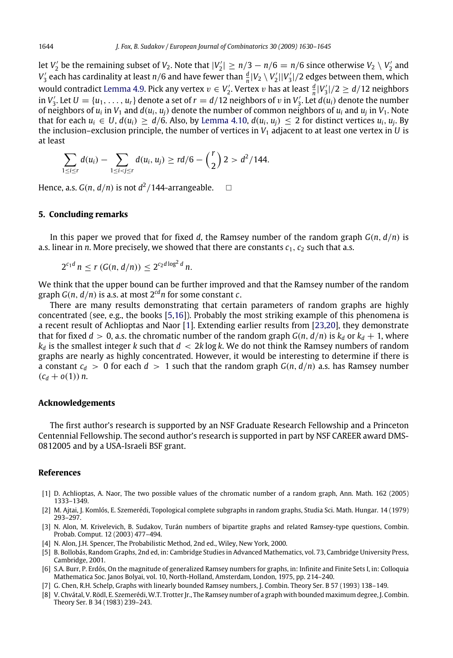let  $V'_2$  be the remaining subset of  $V_2$ . Note that  $|V'_2| \ge n/3 - n/6 = n/6$  since otherwise  $V_2 \setminus V'_2$  and  $V_3'$  each has cardinality at least  $n/6$  and have fewer than  $\frac{d}{n}|V_2 \setminus V_2'||V_3'|/2$  edges between them, which would contradict [Lemma 4.9.](#page-13-1) Pick any vertex  $v \in V_2'$ . Vertex  $v$  has at least  $\frac{d}{n}|V_3'|/2 \geq d/12$  neighbors in  $V'_3$ . Let  $U = \{u_1, \ldots, u_r\}$  denote a set of  $r = d/12$  neighbors of v in  $V'_3$ . Let  $d(u_i)$  denote the number of neighbors of *u<sup>i</sup>* in *V*<sup>1</sup> and *d*(*ui*, *uj*) denote the number of common neighbors of *u<sup>i</sup>* and *u<sup>j</sup>* in *V*1. Note that for each  $u_i \in U$ ,  $d(u_i) \geq d/6$ . Also, by [Lemma 4.10,](#page-13-2)  $d(u_i, u_j) \leq 2$  for distinct vertices  $u_i, u_j$ . By the inclusion–exclusion principle, the number of vertices in  $V_1$  adjacent to at least one vertex in *U* is at least

$$
\sum_{1 \leq i \leq r} d(u_i) - \sum_{1 \leq i < j \leq r} d(u_i, u_j) \geq rd/6 - {r \choose 2} \cdot 2 > d^2/144.
$$

Hence, a.s.  $G(n, d/n)$  is not  $d^2/144$ -arrangeable.  $\Box$ 

#### **5. Concluding remarks**

In this paper we proved that for fixed *d*, the Ramsey number of the random graph *G*(*n*, *d*/*n*) is a.s. linear in *n*. More precisely, we showed that there are constants  $c_1$ ,  $c_2$  such that a.s.

$$
2^{c_1d} n \le r (G(n, d/n)) \le 2^{c_2d \log^2 d} n.
$$

We think that the upper bound can be further improved and that the Ramsey number of the random graph  $G(n, d/n)$  is a.s. at most  $2^{cd}n$  for some constant *c*.

There are many results demonstrating that certain parameters of random graphs are highly concentrated (see, e.g., the books [\[5](#page-14-6)[,16\]](#page-15-14)). Probably the most striking example of this phenomena is a recent result of Achlioptas and Naor [\[1\]](#page-14-7). Extending earlier results from [\[23,](#page-15-15)[20\]](#page-15-16), they demonstrate that for fixed  $d > 0$ , a.s. the chromatic number of the random graph  $G(n, d/n)$  is  $k_d$  or  $k_d + 1$ , where  $k_d$  is the smallest integer *k* such that  $d < 2k \log k$ . We do not think the Ramsey numbers of random graphs are nearly as highly concentrated. However, it would be interesting to determine if there is a constant  $c_d > 0$  for each  $d > 1$  such that the random graph  $G(n, d/n)$  a.s. has Ramsey number  $(c_d + o(1))$  *n*.

#### **Acknowledgements**

The first author's research is supported by an NSF Graduate Research Fellowship and a Princeton Centennial Fellowship. The second author's research is supported in part by NSF CAREER award DMS-0812005 and by a USA-Israeli BSF grant.

#### **References**

- <span id="page-14-7"></span>[1] D. Achlioptas, A. Naor, The two possible values of the chromatic number of a random graph, Ann. Math. 162 (2005) 1333–1349.
- <span id="page-14-3"></span>[2] M. Ajtai, J. Komlós, E. Szemerédi, Topological complete subgraphs in random graphs, Studia Sci. Math. Hungar. 14 (1979) 293–297.
- <span id="page-14-4"></span>[3] N. Alon, M. Krivelevich, B. Sudakov, Turán numbers of bipartite graphs and related Ramsey-type questions, Combin. Probab. Comput. 12 (2003) 477–494.
- <span id="page-14-5"></span>[4] N. Alon, J.H. Spencer, The Probabilistic Method, 2nd ed., Wiley, New York, 2000.
- <span id="page-14-6"></span>[5] B. Bollobás, Random Graphs, 2nd ed, in: Cambridge Studies in Advanced Mathematics, vol. 73, Cambridge University Press, Cambridge, 2001.
- <span id="page-14-0"></span>[6] S.A. Burr, P. Erdős, On the magnitude of generalized Ramsey numbers for graphs, in: Infinite and Finite Sets I, in: Colloquia Mathematica Soc. Janos Bolyai, vol. 10, North-Holland, Amsterdam, London, 1975, pp. 214–240.
- <span id="page-14-2"></span>[7] G. Chen, R.H. Schelp, Graphs with linearly bounded Ramsey numbers, J. Combin. Theory Ser. B 57 (1993) 138–149.
- <span id="page-14-1"></span>[8] V. Chvátal, V. Rödl, E. Szemerédi,W.T. Trotter Jr., The Ramsey number of a graph with bounded maximum degree, J. Combin. Theory Ser. B 34 (1983) 239–243.